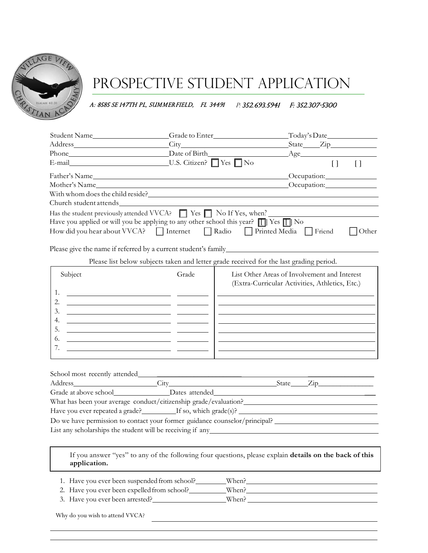

## PROSPECTIVE STUDENT APPLICATION

A: 8585 SE 147TH PL, SUMMER FIELD, FL 34491 P: 352.693.5941 F: 352.307-5300

| Student Name Student Name Student Name Student Name Student Name Student Name Student Name Student Name Student Name Student Name Student Name Student Name Student Name Student Name Student Name Student Name Student Name S |                                                       |                                                                                                                                                                                                                                      |  | $\Gamma$ Oday's Date              |                     |
|--------------------------------------------------------------------------------------------------------------------------------------------------------------------------------------------------------------------------------|-------------------------------------------------------|--------------------------------------------------------------------------------------------------------------------------------------------------------------------------------------------------------------------------------------|--|-----------------------------------|---------------------|
|                                                                                                                                                                                                                                |                                                       |                                                                                                                                                                                                                                      |  |                                   |                     |
|                                                                                                                                                                                                                                |                                                       |                                                                                                                                                                                                                                      |  | $\text{Age}$                      |                     |
| E-mail Ves No                                                                                                                                                                                                                  |                                                       |                                                                                                                                                                                                                                      |  | $\begin{bmatrix} 1 \end{bmatrix}$ | $[ ]$               |
| Father's Name                                                                                                                                                                                                                  |                                                       |                                                                                                                                                                                                                                      |  |                                   |                     |
|                                                                                                                                                                                                                                |                                                       |                                                                                                                                                                                                                                      |  |                                   | Occupation: Network |
|                                                                                                                                                                                                                                |                                                       |                                                                                                                                                                                                                                      |  |                                   |                     |
| Church student attends                                                                                                                                                                                                         |                                                       |                                                                                                                                                                                                                                      |  |                                   |                     |
| Has the student previously attended VVCA? $\Box$ Yes $\Box$ No If Yes, when?                                                                                                                                                   |                                                       |                                                                                                                                                                                                                                      |  |                                   |                     |
| Have you applied or will you be applying to any other school this year? TI Yes TI No                                                                                                                                           |                                                       |                                                                                                                                                                                                                                      |  |                                   |                     |
| How did you hear about VVCA? $\Box$ Internet $\Box$ Radio $\Box$ Printed Media $\Box$ Friend                                                                                                                                   |                                                       |                                                                                                                                                                                                                                      |  |                                   | Other               |
|                                                                                                                                                                                                                                |                                                       |                                                                                                                                                                                                                                      |  |                                   |                     |
| Please list below subjects taken and letter grade received for the last grading period.                                                                                                                                        |                                                       |                                                                                                                                                                                                                                      |  |                                   |                     |
| Subject                                                                                                                                                                                                                        | Grade<br>List Other Areas of Involvement and Interest |                                                                                                                                                                                                                                      |  |                                   |                     |
|                                                                                                                                                                                                                                |                                                       | (Extra-Curricular Activities, Athletics, Etc.)                                                                                                                                                                                       |  |                                   |                     |
| 1.<br><u> 1989 - Johann Stoff, Amerikaansk politiker (</u>                                                                                                                                                                     |                                                       |                                                                                                                                                                                                                                      |  |                                   |                     |
| 2.<br><u> 1989 - Johann Barbara, martin amerikan basar dan basa dan basa dan basa dan basa dan basa dan basa dan basa d</u>                                                                                                    |                                                       |                                                                                                                                                                                                                                      |  |                                   |                     |
| 3.<br><u> 1989 - Johann Stein, mars an deutscher Stein und der Stein und der Stein und der Stein und der Stein und der</u>                                                                                                     |                                                       |                                                                                                                                                                                                                                      |  |                                   |                     |
| 4.<br><u> 1989 - Johann Marie Barn, mars an t-Amerikaansk konst</u>                                                                                                                                                            |                                                       |                                                                                                                                                                                                                                      |  |                                   |                     |
| 5.<br><u> 1989 - Johann Stoff, Amerikaansk politiker († 1908)</u>                                                                                                                                                              |                                                       |                                                                                                                                                                                                                                      |  |                                   |                     |
| 6.<br><u> 1989 - Johann Barn, mars ann an t-Amhainn an t-Amhainn an t-Amhainn an t-Amhainn an t-Amhainn an t-Amhainn an</u>                                                                                                    |                                                       |                                                                                                                                                                                                                                      |  |                                   |                     |
| 7.                                                                                                                                                                                                                             |                                                       | <u>some started and the started and the started and the started and the started and the started and the started and the started and the started and the started and the started and the started and the started and the started </u> |  |                                   |                     |
|                                                                                                                                                                                                                                |                                                       |                                                                                                                                                                                                                                      |  |                                   |                     |
|                                                                                                                                                                                                                                |                                                       |                                                                                                                                                                                                                                      |  |                                   |                     |
|                                                                                                                                                                                                                                |                                                       |                                                                                                                                                                                                                                      |  |                                   |                     |
|                                                                                                                                                                                                                                |                                                       |                                                                                                                                                                                                                                      |  |                                   |                     |
| What has been your average conduct/citizenship grade/evaluation?                                                                                                                                                               |                                                       |                                                                                                                                                                                                                                      |  |                                   |                     |
|                                                                                                                                                                                                                                |                                                       |                                                                                                                                                                                                                                      |  |                                   |                     |
| Do we have permission to contact your former guidance counselor/principal?                                                                                                                                                     |                                                       |                                                                                                                                                                                                                                      |  |                                   |                     |
|                                                                                                                                                                                                                                |                                                       |                                                                                                                                                                                                                                      |  |                                   |                     |
|                                                                                                                                                                                                                                |                                                       |                                                                                                                                                                                                                                      |  |                                   |                     |
|                                                                                                                                                                                                                                |                                                       |                                                                                                                                                                                                                                      |  |                                   |                     |

If you answer "yes" to any of the following four questions, please explain **details on the back of this application.**

<u> 1989 - Johann Stoff, deutscher Stoffen und der Stoffen und der Stoffen und der Stoffen und der Stoffen und der</u>

- 1. Have you ever been suspended from school? When?
- 2. Have you ever been expelled from school? When?

3. Have you ever been arrested? When?

Why do you wish to attend VVCA?